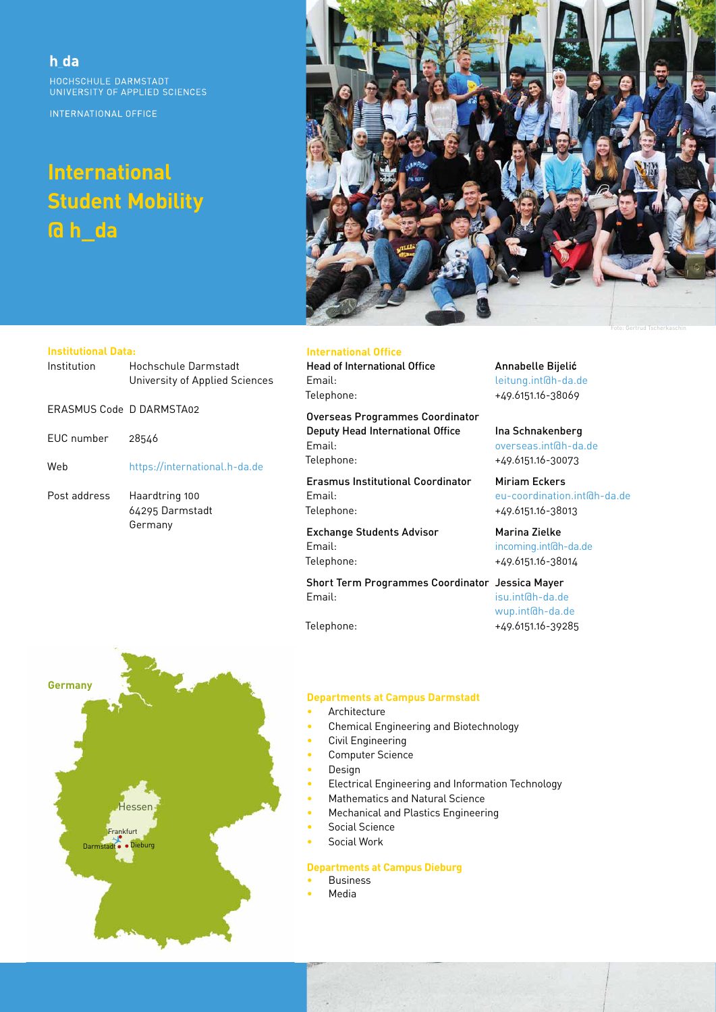h da HOCHSCHULE DARMSTADT UNIVERSITY OF APPLIED SCIENCES

INTERNATIONAL OFFICE

# **International Student Mobility @ h\_da**



#### **Institutional Data:**

| Institution              | Hochschule Darmstadt<br>University of Applied Sciences |
|--------------------------|--------------------------------------------------------|
| FRASMUS Code D DARMSTA02 |                                                        |
| EUC number               | 28546                                                  |
| Web                      | https://international.h-da.de                          |
| Post address             | Haardtring 100<br>64295 Darmstadt<br>Germany           |

## **International Office**

Head of International Office **Annabelle Bijelić** Email: leitung.int@h-da.de Telephone: +49.6151.16-38069

Overseas Programmes Coordinator Deputy Head International Office Ina Schnakenberg Email: overseas.int@h-da.de Telephone: +49.6151.16-30073

Erasmus Institutional Coordinator Miriam Eckers Email: eu-coordination.int@h-da.de Telephone: +49.6151.16-38013

Exchange Students Advisor Marina Zielke Email: incoming.int@h-da.de Telephone: +49.6151.16-38014

Short Term Programmes Coordinator Jessica Mayer Email: isu.int@h-da.de

wup.int@h-da.de Telephone: +49.6151.16-39285



#### **Departments at Campus Darmstadt**

- **Architecture**
- Chemical Engineering and Biotechnology
- Civil Engineering
- Computer Science
- Design
- Electrical Engineering and Information Technology
	- Mathematics and Natural Science
- Mechanical and Plastics Engineering
- Social Science
- Social Work

### **Departments at Campus Dieburg**

- **Business**
- Media